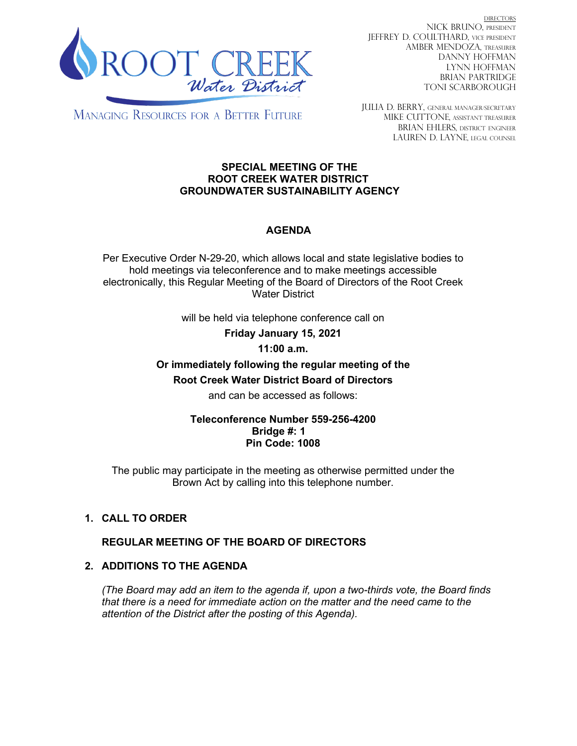

DIRECTORS NICK BRUNO, PRESIDENT JEFFREY D. COULTHARD, Vice President AMBER MENDOZA, TREASURER DANNY HOFFMAN LYNN HOFFMAN BRIAN PARTRIDGE TONI SCARBOROUGH

**MANAGING RESOURCES FOR A BETTER FUTURE** 

JULIA D. BERRY, GENERAL MANAGER/secretary MIKE CUTTONE, Assistant treasurer BRIAN EHLERS, DISTRICT ENGINEER LAUREN D. LAYNE, LEGAL COUNSEL

#### **SPECIAL MEETING OF THE ROOT CREEK WATER DISTRICT GROUNDWATER SUSTAINABILITY AGENCY**

### **AGENDA**

Per Executive Order N-29-20, which allows local and state legislative bodies to hold meetings via teleconference and to make meetings accessible electronically, this Regular Meeting of the Board of Directors of the Root Creek Water District

will be held via telephone conference call on

**Friday January 15, 2021**

### **11:00 a.m.**

# **Or immediately following the regular meeting of the Root Creek Water District Board of Directors**

and can be accessed as follows:

### **Teleconference Number 559-256-4200 Bridge #: 1 Pin Code: 1008**

The public may participate in the meeting as otherwise permitted under the Brown Act by calling into this telephone number.

## **1. CALL TO ORDER**

### **REGULAR MEETING OF THE BOARD OF DIRECTORS**

### **2. ADDITIONS TO THE AGENDA**

*(The Board may add an item to the agenda if, upon a two-thirds vote, the Board finds that there is a need for immediate action on the matter and the need came to the attention of the District after the posting of this Agenda).*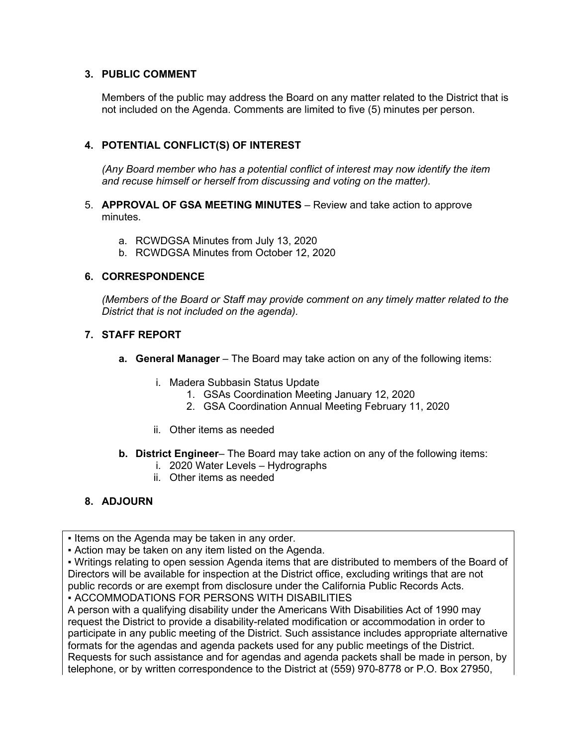### **3. PUBLIC COMMENT**

Members of the public may address the Board on any matter related to the District that is not included on the Agenda. Comments are limited to five (5) minutes per person.

### **4. POTENTIAL CONFLICT(S) OF INTEREST**

*(Any Board member who has a potential conflict of interest may now identify the item and recuse himself or herself from discussing and voting on the matter).*

- 5. **APPROVAL OF GSA MEETING MINUTES** Review and take action to approve minutes.
	- a. RCWDGSA Minutes from July 13, 2020
	- b. RCWDGSA Minutes from October 12, 2020

#### **6. CORRESPONDENCE**

*(Members of the Board or Staff may provide comment on any timely matter related to the District that is not included on the agenda).*

### **7. STAFF REPORT**

- **a. General Manager** The Board may take action on any of the following items:
	- i. Madera Subbasin Status Update
		- 1. GSAs Coordination Meeting January 12, 2020
		- 2. GSA Coordination Annual Meeting February 11, 2020
	- ii. Other items as needed
- **b. District Engineer** The Board may take action on any of the following items:
	- i. 2020 Water Levels Hydrographs
	- ii. Other items as needed

### **8. ADJOURN**

**.** Items on the Agenda may be taken in any order.

▪ Action may be taken on any item listed on the Agenda.

▪ Writings relating to open session Agenda items that are distributed to members of the Board of Directors will be available for inspection at the District office, excluding writings that are not public records or are exempt from disclosure under the California Public Records Acts. ▪ ACCOMMODATIONS FOR PERSONS WITH DISABILITIES

A person with a qualifying disability under the Americans With Disabilities Act of 1990 may request the District to provide a disability-related modification or accommodation in order to participate in any public meeting of the District. Such assistance includes appropriate alternative formats for the agendas and agenda packets used for any public meetings of the District. Requests for such assistance and for agendas and agenda packets shall be made in person, by telephone, or by written correspondence to the District at (559) 970-8778 or P.O. Box 27950,